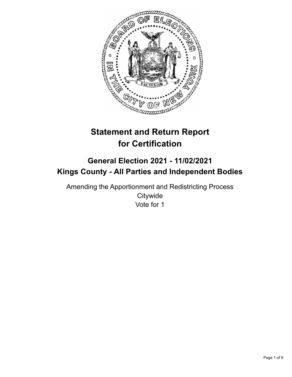

# **Statement and Return Report for Certification**

## **General Election 2021 - 11/02/2021 Kings County - All Parties and Independent Bodies**

Amending the Apportionment and Redistricting Process **Citywide** Vote for 1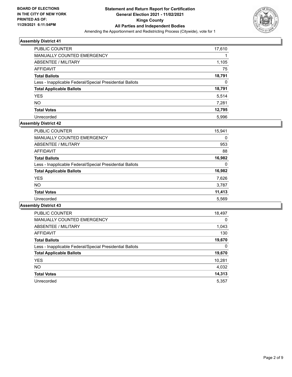

| <b>PUBLIC COUNTER</b>                                    | 17,610 |
|----------------------------------------------------------|--------|
| MANUALLY COUNTED EMERGENCY                               |        |
| ABSENTEE / MILITARY                                      | 1,105  |
| AFFIDAVIT                                                | 75     |
| <b>Total Ballots</b>                                     | 18,791 |
| Less - Inapplicable Federal/Special Presidential Ballots | 0      |
| <b>Total Applicable Ballots</b>                          | 18,791 |
| <b>YES</b>                                               | 5,514  |
| <b>NO</b>                                                | 7,281  |
| <b>Total Votes</b>                                       | 12,795 |
| Unrecorded                                               | 5.996  |

#### **Assembly District 42**

| <b>PUBLIC COUNTER</b>                                    | 15,941 |
|----------------------------------------------------------|--------|
| <b>MANUALLY COUNTED EMERGENCY</b>                        | 0      |
| ABSENTEE / MILITARY                                      | 953    |
| AFFIDAVIT                                                | 88     |
| <b>Total Ballots</b>                                     | 16,982 |
| Less - Inapplicable Federal/Special Presidential Ballots | 0      |
| <b>Total Applicable Ballots</b>                          | 16,982 |
| <b>YES</b>                                               | 7,626  |
| <b>NO</b>                                                | 3,787  |
| <b>Total Votes</b>                                       | 11,413 |
| Unrecorded                                               | 5,569  |

| <b>PUBLIC COUNTER</b>                                    | 18,497   |
|----------------------------------------------------------|----------|
| <b>MANUALLY COUNTED EMERGENCY</b>                        | $\Omega$ |
| ABSENTEE / MILITARY                                      | 1,043    |
| <b>AFFIDAVIT</b>                                         | 130      |
| <b>Total Ballots</b>                                     | 19,670   |
| Less - Inapplicable Federal/Special Presidential Ballots | 0        |
| <b>Total Applicable Ballots</b>                          | 19,670   |
| <b>YES</b>                                               | 10,281   |
| <b>NO</b>                                                | 4,032    |
| <b>Total Votes</b>                                       | 14,313   |
| Unrecorded                                               | 5.357    |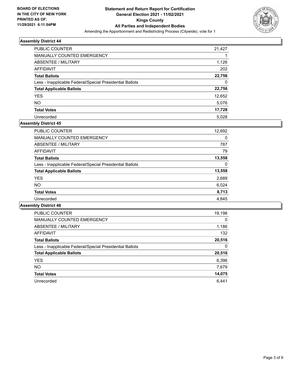

| <b>PUBLIC COUNTER</b>                                    | 21,427 |
|----------------------------------------------------------|--------|
| <b>MANUALLY COUNTED EMERGENCY</b>                        |        |
| ABSENTEE / MILITARY                                      | 1,126  |
| AFFIDAVIT                                                | 202    |
| <b>Total Ballots</b>                                     | 22,756 |
| Less - Inapplicable Federal/Special Presidential Ballots | 0      |
| <b>Total Applicable Ballots</b>                          | 22,756 |
| <b>YES</b>                                               | 12,652 |
| <b>NO</b>                                                | 5,076  |
| <b>Total Votes</b>                                       | 17,728 |
| Unrecorded                                               | 5,028  |

#### **Assembly District 45**

| 12,692 |
|--------|
| 0      |
| 787    |
| 79     |
| 13,558 |
| 0      |
| 13,558 |
| 2,689  |
| 6,024  |
| 8,713  |
| 4.845  |
|        |

| <b>PUBLIC COUNTER</b>                                    | 19,198   |
|----------------------------------------------------------|----------|
| <b>MANUALLY COUNTED EMERGENCY</b>                        | $\Omega$ |
| ABSENTEE / MILITARY                                      | 1,186    |
| <b>AFFIDAVIT</b>                                         | 132      |
| <b>Total Ballots</b>                                     | 20,516   |
| Less - Inapplicable Federal/Special Presidential Ballots | 0        |
| <b>Total Applicable Ballots</b>                          | 20,516   |
| <b>YES</b>                                               | 6,396    |
| <b>NO</b>                                                | 7,679    |
| <b>Total Votes</b>                                       | 14,075   |
| Unrecorded                                               | 6.441    |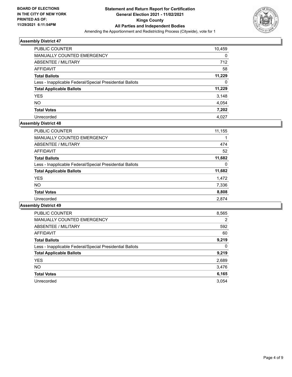

| <b>PUBLIC COUNTER</b>                                    | 10,459   |
|----------------------------------------------------------|----------|
| <b>MANUALLY COUNTED EMERGENCY</b>                        | 0        |
| ABSENTEE / MILITARY                                      | 712      |
| AFFIDAVIT                                                | 58       |
| <b>Total Ballots</b>                                     | 11,229   |
| Less - Inapplicable Federal/Special Presidential Ballots | $\Omega$ |
| <b>Total Applicable Ballots</b>                          | 11,229   |
| <b>YES</b>                                               | 3,148    |
| <b>NO</b>                                                | 4,054    |
| <b>Total Votes</b>                                       | 7,202    |
| Unrecorded                                               | 4.027    |

## **Assembly District 48**

| <b>PUBLIC COUNTER</b>                                    | 11,155 |
|----------------------------------------------------------|--------|
| MANUALLY COUNTED EMERGENCY                               |        |
| ABSENTEE / MILITARY                                      | 474    |
| AFFIDAVIT                                                | 52     |
| <b>Total Ballots</b>                                     | 11,682 |
| Less - Inapplicable Federal/Special Presidential Ballots | 0      |
| <b>Total Applicable Ballots</b>                          | 11,682 |
| <b>YES</b>                                               | 1,472  |
| <b>NO</b>                                                | 7,336  |
| <b>Total Votes</b>                                       | 8,808  |
| Unrecorded                                               | 2,874  |

| <b>PUBLIC COUNTER</b>                                    | 8,565 |
|----------------------------------------------------------|-------|
| <b>MANUALLY COUNTED EMERGENCY</b>                        | 2     |
| ABSENTEE / MILITARY                                      | 592   |
| <b>AFFIDAVIT</b>                                         | 60    |
| <b>Total Ballots</b>                                     | 9,219 |
| Less - Inapplicable Federal/Special Presidential Ballots | 0     |
| <b>Total Applicable Ballots</b>                          | 9,219 |
| <b>YES</b>                                               | 2,689 |
| <b>NO</b>                                                | 3,476 |
| <b>Total Votes</b>                                       | 6,165 |
| Unrecorded                                               | 3.054 |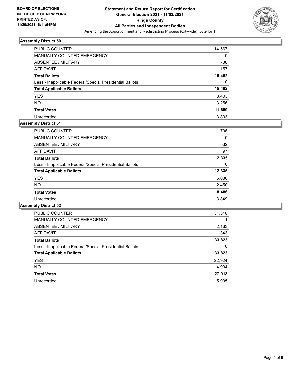

| <b>PUBLIC COUNTER</b>                                    | 14,567 |
|----------------------------------------------------------|--------|
| MANUALLY COUNTED EMERGENCY                               | 0      |
| ABSENTEE / MILITARY                                      | 738    |
| AFFIDAVIT                                                | 157    |
| <b>Total Ballots</b>                                     | 15,462 |
| Less - Inapplicable Federal/Special Presidential Ballots | 0      |
| <b>Total Applicable Ballots</b>                          | 15,462 |
| <b>YES</b>                                               | 8,403  |
| <b>NO</b>                                                | 3,256  |
| <b>Total Votes</b>                                       | 11,659 |
| Unrecorded                                               | 3.803  |

## **Assembly District 51**

| <b>PUBLIC COUNTER</b>                                    | 11,706 |
|----------------------------------------------------------|--------|
| <b>MANUALLY COUNTED EMERGENCY</b>                        | 0      |
| ABSENTEE / MILITARY                                      | 532    |
| AFFIDAVIT                                                | 97     |
| <b>Total Ballots</b>                                     | 12,335 |
| Less - Inapplicable Federal/Special Presidential Ballots | 0      |
| <b>Total Applicable Ballots</b>                          | 12,335 |
| <b>YES</b>                                               | 6,036  |
| NO.                                                      | 2,450  |
| <b>Total Votes</b>                                       | 8,486  |
| Unrecorded                                               | 3.849  |

| <b>PUBLIC COUNTER</b>                                    | 31,316 |
|----------------------------------------------------------|--------|
| <b>MANUALLY COUNTED EMERGENCY</b>                        |        |
| ABSENTEE / MILITARY                                      | 2,163  |
| <b>AFFIDAVIT</b>                                         | 343    |
| <b>Total Ballots</b>                                     | 33,823 |
| Less - Inapplicable Federal/Special Presidential Ballots | 0      |
| <b>Total Applicable Ballots</b>                          | 33,823 |
| <b>YES</b>                                               | 22,924 |
| <b>NO</b>                                                | 4,994  |
| <b>Total Votes</b>                                       | 27,918 |
| Unrecorded                                               | 5.905  |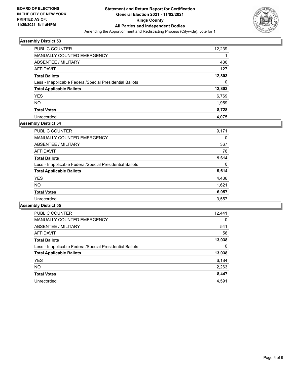

| <b>PUBLIC COUNTER</b>                                    | 12,239 |
|----------------------------------------------------------|--------|
| MANUALLY COUNTED EMERGENCY                               |        |
| ABSENTEE / MILITARY                                      | 436    |
| AFFIDAVIT                                                | 127    |
| <b>Total Ballots</b>                                     | 12,803 |
| Less - Inapplicable Federal/Special Presidential Ballots | 0      |
| <b>Total Applicable Ballots</b>                          | 12,803 |
| <b>YES</b>                                               | 6,769  |
| <b>NO</b>                                                | 1,959  |
| <b>Total Votes</b>                                       | 8,728  |
| Unrecorded                                               | 4.075  |

## **Assembly District 54**

| 9,171 |
|-------|
| 0     |
| 367   |
| 76    |
| 9,614 |
| 0     |
| 9,614 |
| 4,436 |
| 1,621 |
| 6,057 |
| 3,557 |
|       |

| <b>PUBLIC COUNTER</b>                                    | 12,441   |
|----------------------------------------------------------|----------|
| MANUALLY COUNTED EMERGENCY                               | $\Omega$ |
| ABSENTEE / MILITARY                                      | 541      |
| AFFIDAVIT                                                | 56       |
| <b>Total Ballots</b>                                     | 13,038   |
| Less - Inapplicable Federal/Special Presidential Ballots | 0        |
| <b>Total Applicable Ballots</b>                          | 13,038   |
| <b>YES</b>                                               | 6,184    |
| NO.                                                      | 2,263    |
| <b>Total Votes</b>                                       | 8,447    |
| Unrecorded                                               | 4.591    |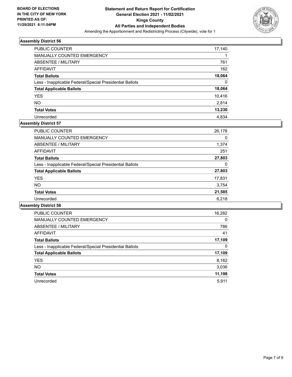

| <b>PUBLIC COUNTER</b>                                    | 17,140   |
|----------------------------------------------------------|----------|
| <b>MANUALLY COUNTED EMERGENCY</b>                        |          |
| ABSENTEE / MILITARY                                      | 761      |
| AFFIDAVIT                                                | 162      |
| <b>Total Ballots</b>                                     | 18,064   |
| Less - Inapplicable Federal/Special Presidential Ballots | $\Omega$ |
| <b>Total Applicable Ballots</b>                          | 18,064   |
| <b>YES</b>                                               | 10,416   |
| <b>NO</b>                                                | 2.814    |
| <b>Total Votes</b>                                       | 13,230   |
| Unrecorded                                               | 4.834    |

## **Assembly District 57**

| <b>PUBLIC COUNTER</b>                                    | 26,178 |
|----------------------------------------------------------|--------|
| <b>MANUALLY COUNTED EMERGENCY</b>                        | 0      |
| ABSENTEE / MILITARY                                      | 1,374  |
| AFFIDAVIT                                                | 251    |
| <b>Total Ballots</b>                                     | 27,803 |
| Less - Inapplicable Federal/Special Presidential Ballots | 0      |
| <b>Total Applicable Ballots</b>                          | 27,803 |
| <b>YES</b>                                               | 17,831 |
| <b>NO</b>                                                | 3,754  |
| <b>Total Votes</b>                                       | 21,585 |
| Unrecorded                                               | 6.218  |

| <b>PUBLIC COUNTER</b>                                    | 16,282   |
|----------------------------------------------------------|----------|
| <b>MANUALLY COUNTED EMERGENCY</b>                        | $\Omega$ |
| ABSENTEE / MILITARY                                      | 786      |
| <b>AFFIDAVIT</b>                                         | 41       |
| <b>Total Ballots</b>                                     | 17,109   |
| Less - Inapplicable Federal/Special Presidential Ballots | 0        |
| <b>Total Applicable Ballots</b>                          | 17,109   |
| <b>YES</b>                                               | 8,162    |
| <b>NO</b>                                                | 3,036    |
| <b>Total Votes</b>                                       | 11,198   |
| Unrecorded                                               | 5.911    |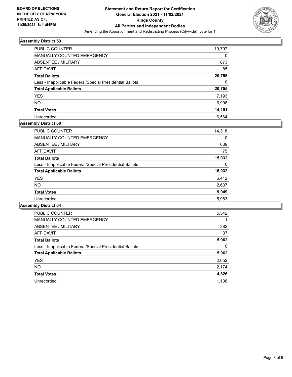

| <b>PUBLIC COUNTER</b>                                    | 19,797   |
|----------------------------------------------------------|----------|
| MANUALLY COUNTED EMERGENCY                               | 0        |
| ABSENTEE / MILITARY                                      | 873      |
| AFFIDAVIT                                                | 85       |
| <b>Total Ballots</b>                                     | 20,755   |
| Less - Inapplicable Federal/Special Presidential Ballots | $\Omega$ |
| <b>Total Applicable Ballots</b>                          | 20,755   |
| <b>YES</b>                                               | 7,193    |
| <b>NO</b>                                                | 6,998    |
| <b>Total Votes</b>                                       | 14,191   |
| Unrecorded                                               | 6.564    |

## **Assembly District 60**

| <b>PUBLIC COUNTER</b>                                    | 14,318 |
|----------------------------------------------------------|--------|
| <b>MANUALLY COUNTED EMERGENCY</b>                        | 0      |
| ABSENTEE / MILITARY                                      | 639    |
| AFFIDAVIT                                                | 75     |
| <b>Total Ballots</b>                                     | 15,032 |
| Less - Inapplicable Federal/Special Presidential Ballots | 0      |
| <b>Total Applicable Ballots</b>                          | 15,032 |
| <b>YES</b>                                               | 6,412  |
| <b>NO</b>                                                | 2,637  |
| <b>Total Votes</b>                                       | 9,049  |
| Unrecorded                                               | 5.983  |
|                                                          |        |

| <b>PUBLIC COUNTER</b>                                    | 5,542 |
|----------------------------------------------------------|-------|
| <b>MANUALLY COUNTED EMERGENCY</b>                        |       |
| ABSENTEE / MILITARY                                      | 382   |
| <b>AFFIDAVIT</b>                                         | 37    |
| <b>Total Ballots</b>                                     | 5,962 |
| Less - Inapplicable Federal/Special Presidential Ballots | 0     |
| <b>Total Applicable Ballots</b>                          | 5,962 |
| <b>YES</b>                                               | 2,652 |
| NO.                                                      | 2,174 |
| <b>Total Votes</b>                                       | 4,826 |
| Unrecorded                                               | 1.136 |